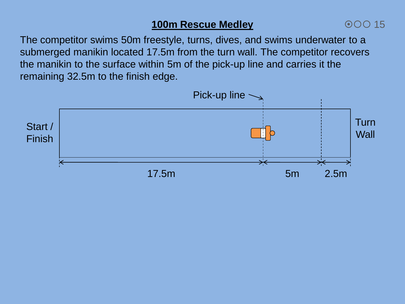## **100m Rescue Medley**

The competitor swims 50m freestyle, turns, dives, and swims underwater to a submerged manikin located 17.5m from the turn wall. The competitor recovers the manikin to the surface within 5m of the pick-up line and carries it the remaining 32.5m to the finish edge.

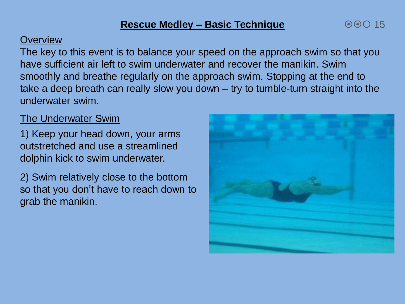## **Overview**

The key to this event is to balance your speed on the approach swim so that you have sufficient air left to swim underwater and recover the manikin. Swim smoothly and breathe regularly on the approach swim. Stopping at the end to take a deep breath can really slow you down – try to tumble-turn straight into the underwater swim.

## The Underwater Swim

1) Keep your head down, your arms outstretched and use a streamlined dolphin kick to swim underwater.

2) Swim relatively close to the bottom so that you don't have to reach down to grab the manikin.